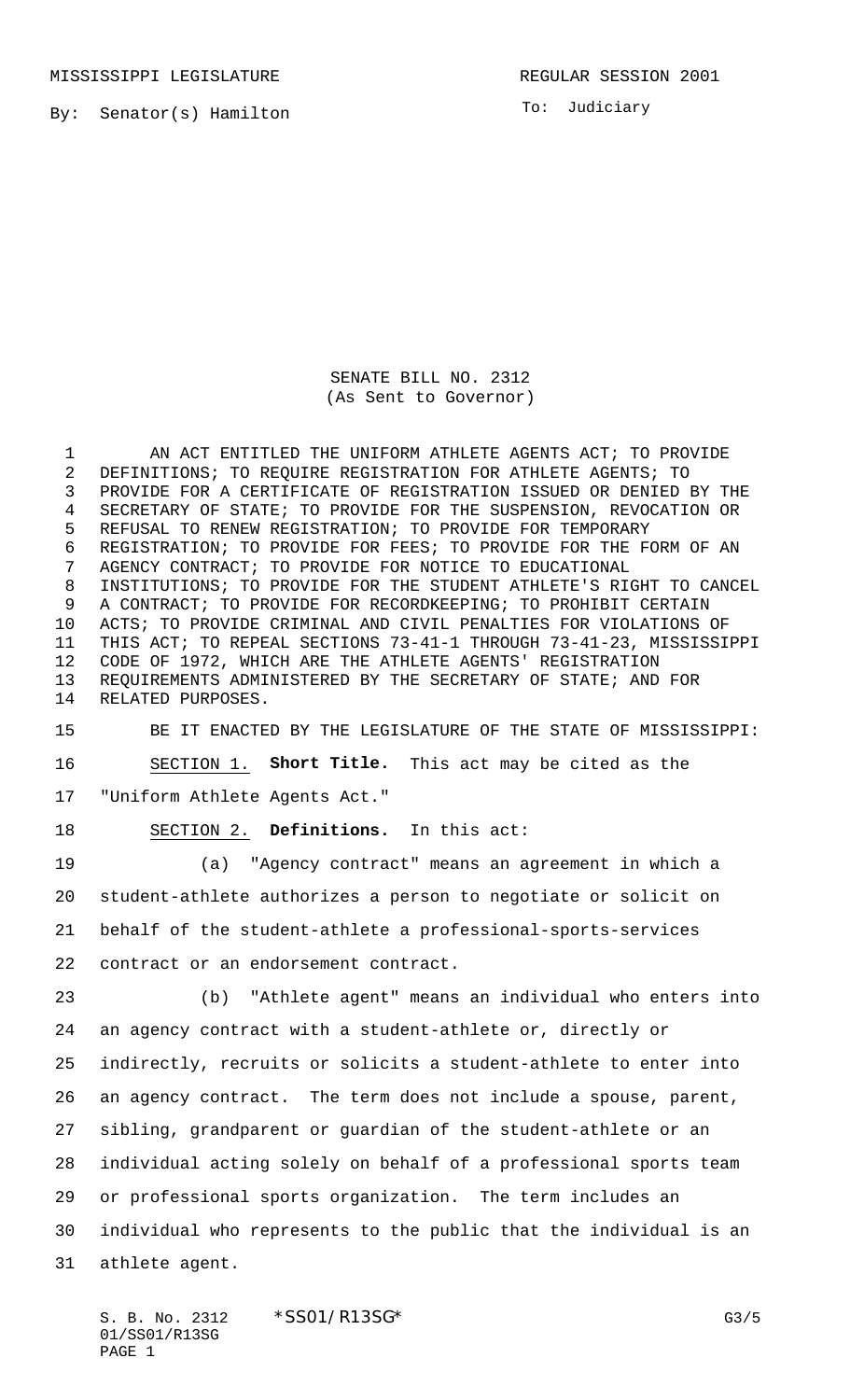MISSISSIPPI LEGISLATURE **REGULAR SESSION 2001** 

By: Senator(s) Hamilton

To: Judiciary

SENATE BILL NO. 2312 (As Sent to Governor)

 AN ACT ENTITLED THE UNIFORM ATHLETE AGENTS ACT; TO PROVIDE DEFINITIONS; TO REQUIRE REGISTRATION FOR ATHLETE AGENTS; TO PROVIDE FOR A CERTIFICATE OF REGISTRATION ISSUED OR DENIED BY THE SECRETARY OF STATE; TO PROVIDE FOR THE SUSPENSION, REVOCATION OR REFUSAL TO RENEW REGISTRATION; TO PROVIDE FOR TEMPORARY REGISTRATION; TO PROVIDE FOR FEES; TO PROVIDE FOR THE FORM OF AN AGENCY CONTRACT; TO PROVIDE FOR NOTICE TO EDUCATIONAL INSTITUTIONS; TO PROVIDE FOR THE STUDENT ATHLETE'S RIGHT TO CANCEL A CONTRACT; TO PROVIDE FOR RECORDKEEPING; TO PROHIBIT CERTAIN ACTS; TO PROVIDE CRIMINAL AND CIVIL PENALTIES FOR VIOLATIONS OF THIS ACT; TO REPEAL SECTIONS 73-41-1 THROUGH 73-41-23, MISSISSIPPI CODE OF 1972, WHICH ARE THE ATHLETE AGENTS' REGISTRATION REQUIREMENTS ADMINISTERED BY THE SECRETARY OF STATE; AND FOR RELATED PURPOSES.

 BE IT ENACTED BY THE LEGISLATURE OF THE STATE OF MISSISSIPPI: SECTION 1. **Short Title.** This act may be cited as the "Uniform Athlete Agents Act."

SECTION 2. **Definitions.** In this act:

 (a) "Agency contract" means an agreement in which a student-athlete authorizes a person to negotiate or solicit on behalf of the student-athlete a professional-sports-services contract or an endorsement contract.

 (b) "Athlete agent" means an individual who enters into an agency contract with a student-athlete or, directly or indirectly, recruits or solicits a student-athlete to enter into an agency contract. The term does not include a spouse, parent, sibling, grandparent or guardian of the student-athlete or an individual acting solely on behalf of a professional sports team or professional sports organization. The term includes an individual who represents to the public that the individual is an athlete agent.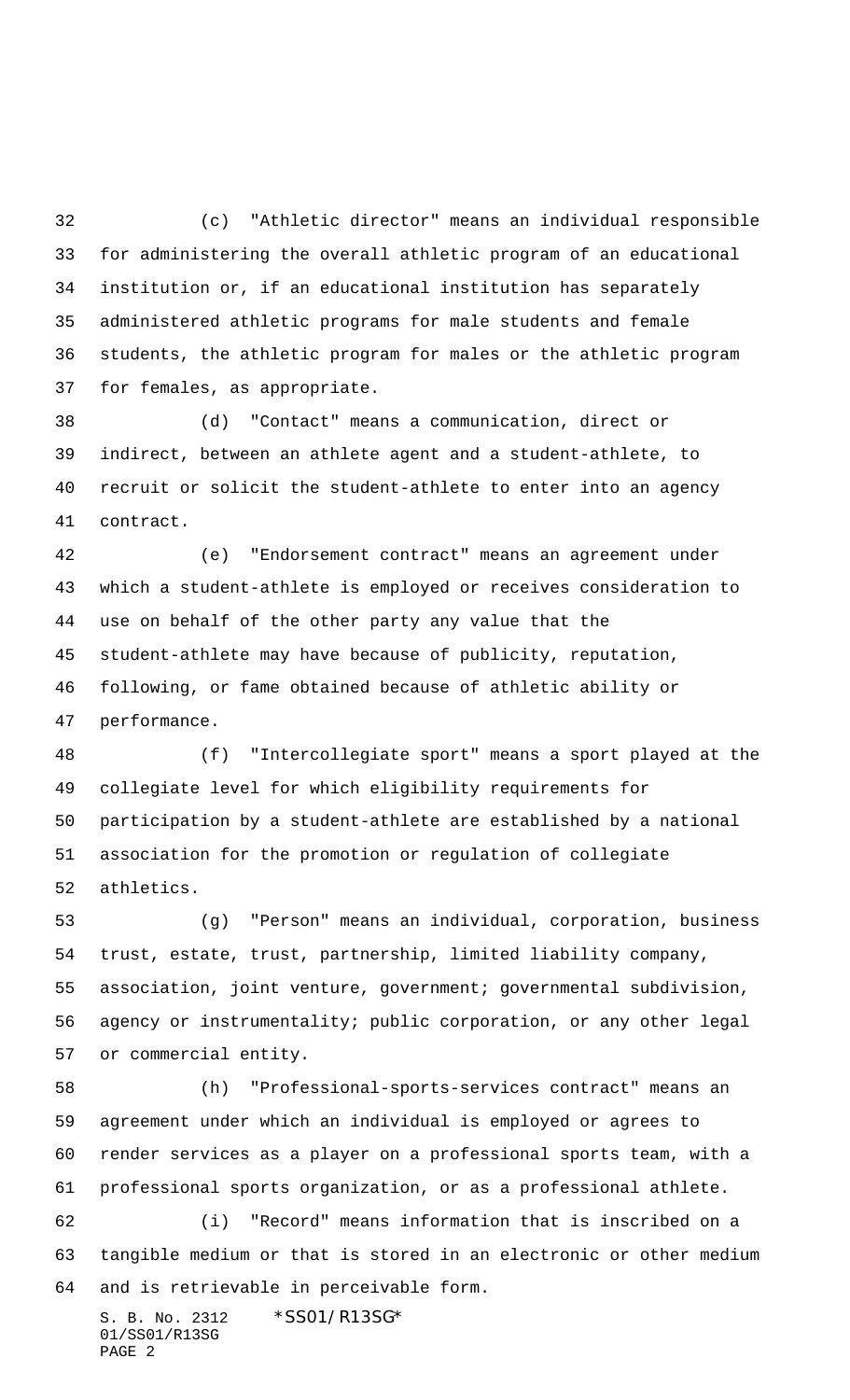(c) "Athletic director" means an individual responsible for administering the overall athletic program of an educational institution or, if an educational institution has separately administered athletic programs for male students and female students, the athletic program for males or the athletic program for females, as appropriate.

 (d) "Contact" means a communication, direct or indirect, between an athlete agent and a student-athlete, to recruit or solicit the student-athlete to enter into an agency contract.

 (e) "Endorsement contract" means an agreement under which a student-athlete is employed or receives consideration to use on behalf of the other party any value that the student-athlete may have because of publicity, reputation, following, or fame obtained because of athletic ability or performance.

 (f) "Intercollegiate sport" means a sport played at the collegiate level for which eligibility requirements for participation by a student-athlete are established by a national association for the promotion or regulation of collegiate athletics.

 (g) "Person" means an individual, corporation, business trust, estate, trust, partnership, limited liability company, association, joint venture, government; governmental subdivision, agency or instrumentality; public corporation, or any other legal or commercial entity.

 (h) "Professional-sports-services contract" means an agreement under which an individual is employed or agrees to render services as a player on a professional sports team, with a professional sports organization, or as a professional athlete. (i) "Record" means information that is inscribed on a tangible medium or that is stored in an electronic or other medium

and is retrievable in perceivable form.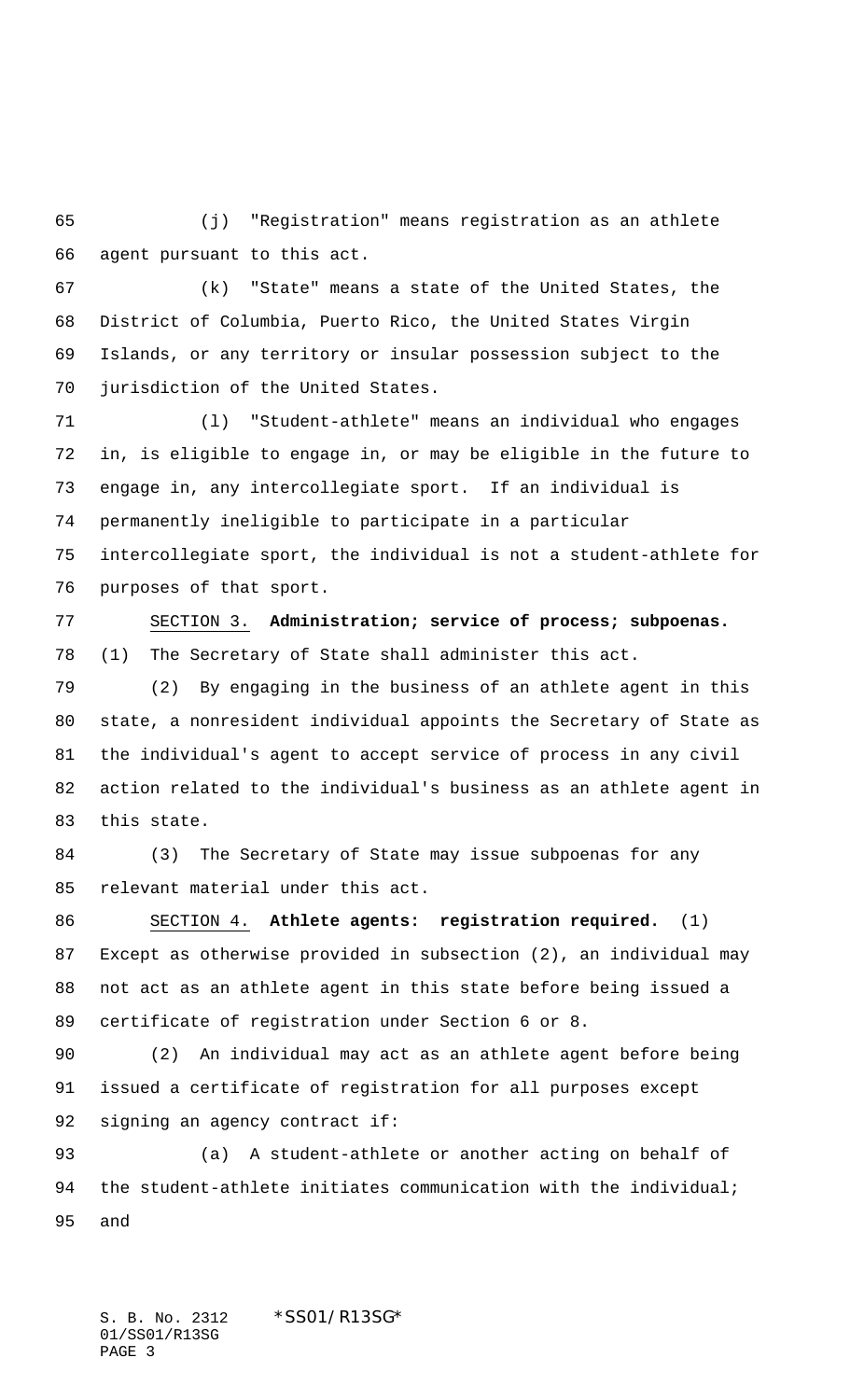(j) "Registration" means registration as an athlete agent pursuant to this act.

 (k) "State" means a state of the United States, the District of Columbia, Puerto Rico, the United States Virgin Islands, or any territory or insular possession subject to the jurisdiction of the United States.

 (l) "Student-athlete" means an individual who engages in, is eligible to engage in, or may be eligible in the future to engage in, any intercollegiate sport. If an individual is permanently ineligible to participate in a particular intercollegiate sport, the individual is not a student-athlete for purposes of that sport.

 SECTION 3. **Administration; service of process; subpoenas.** (1) The Secretary of State shall administer this act.

 (2) By engaging in the business of an athlete agent in this state, a nonresident individual appoints the Secretary of State as the individual's agent to accept service of process in any civil action related to the individual's business as an athlete agent in this state.

 (3) The Secretary of State may issue subpoenas for any relevant material under this act.

 SECTION 4. **Athlete agents: registration required.** (1) Except as otherwise provided in subsection (2), an individual may not act as an athlete agent in this state before being issued a certificate of registration under Section 6 or 8.

 (2) An individual may act as an athlete agent before being issued a certificate of registration for all purposes except signing an agency contract if:

 (a) A student-athlete or another acting on behalf of 94 the student-athlete initiates communication with the individual; and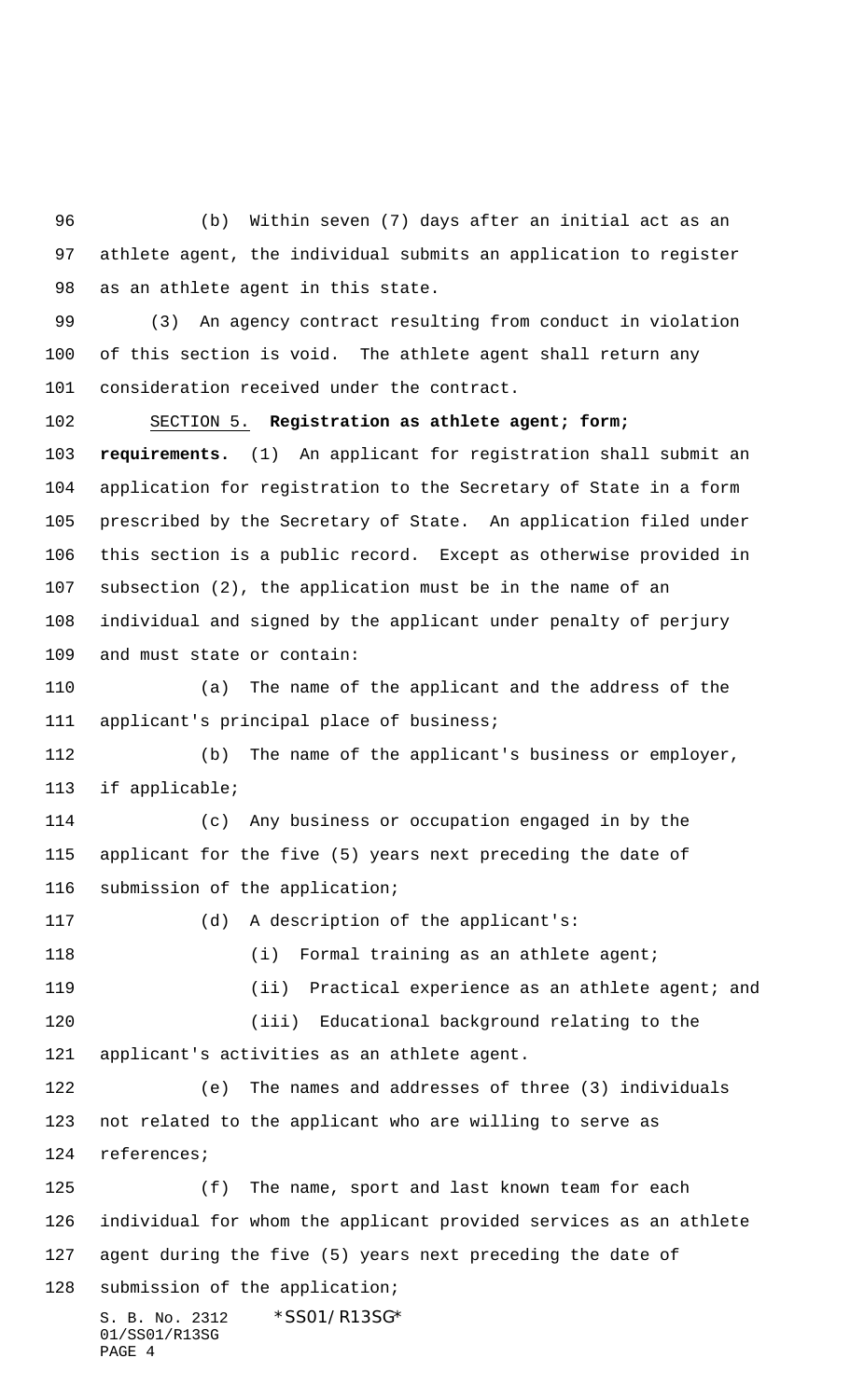(b) Within seven (7) days after an initial act as an athlete agent, the individual submits an application to register as an athlete agent in this state.

 (3) An agency contract resulting from conduct in violation of this section is void. The athlete agent shall return any consideration received under the contract.

 SECTION 5. **Registration as athlete agent; form; requirements.** (1) An applicant for registration shall submit an application for registration to the Secretary of State in a form prescribed by the Secretary of State. An application filed under this section is a public record. Except as otherwise provided in subsection (2), the application must be in the name of an individual and signed by the applicant under penalty of perjury and must state or contain:

 (a) The name of the applicant and the address of the applicant's principal place of business;

 (b) The name of the applicant's business or employer, if applicable;

 (c) Any business or occupation engaged in by the applicant for the five (5) years next preceding the date of submission of the application;

 (d) A description of the applicant's: 118 (i) Formal training as an athlete agent; (ii) Practical experience as an athlete agent; and (iii) Educational background relating to the applicant's activities as an athlete agent. (e) The names and addresses of three (3) individuals not related to the applicant who are willing to serve as references; (f) The name, sport and last known team for each individual for whom the applicant provided services as an athlete agent during the five (5) years next preceding the date of

S. B. No. 2312 \*SS01/R13SG\* 01/SS01/R13SG PAGE 4

submission of the application;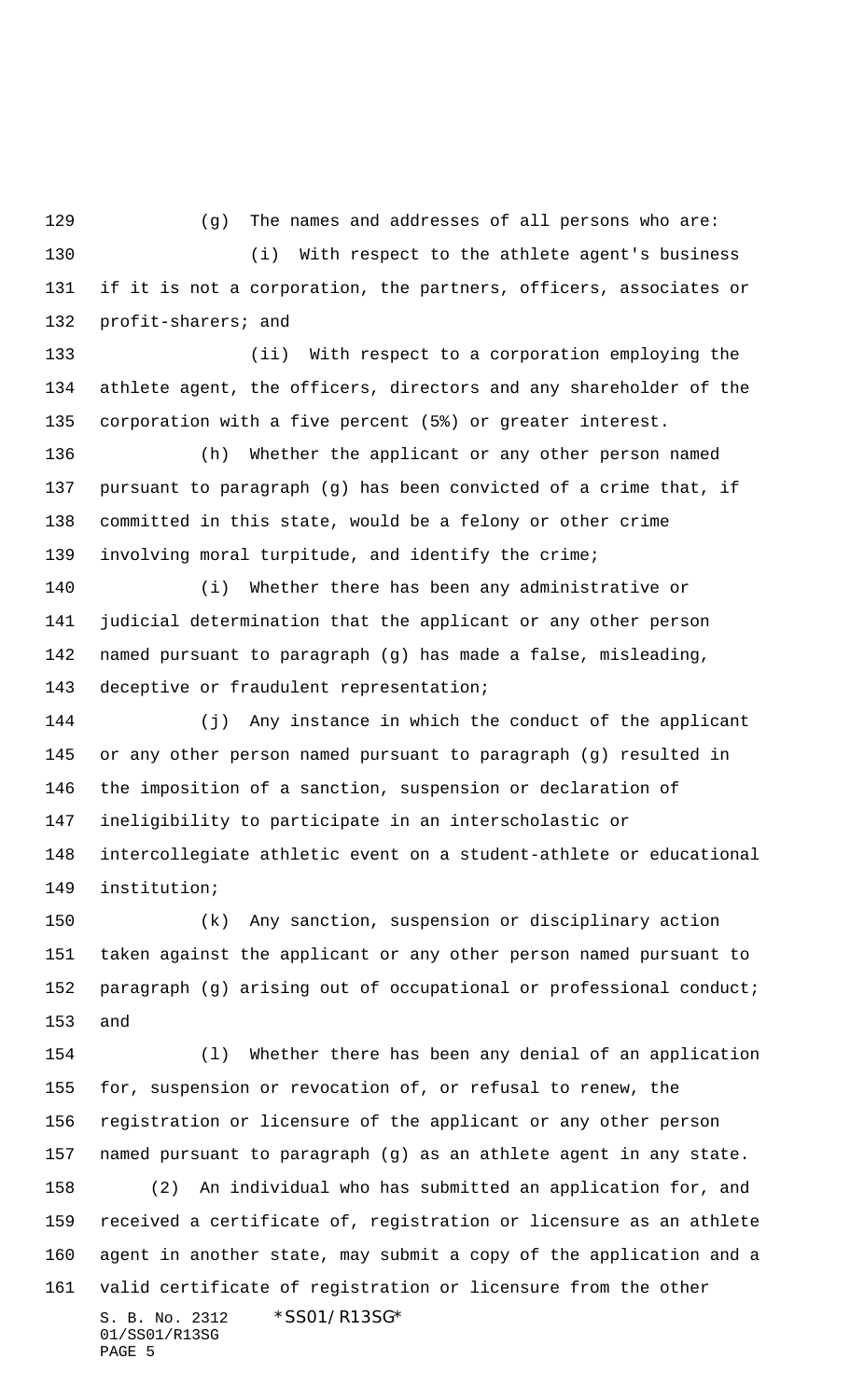129 (g) The names and addresses of all persons who are:

 (i) With respect to the athlete agent's business if it is not a corporation, the partners, officers, associates or profit-sharers; and

 (ii) With respect to a corporation employing the athlete agent, the officers, directors and any shareholder of the corporation with a five percent (5%) or greater interest.

 (h) Whether the applicant or any other person named pursuant to paragraph (g) has been convicted of a crime that, if committed in this state, would be a felony or other crime involving moral turpitude, and identify the crime;

 (i) Whether there has been any administrative or judicial determination that the applicant or any other person named pursuant to paragraph (g) has made a false, misleading, deceptive or fraudulent representation;

 (j) Any instance in which the conduct of the applicant or any other person named pursuant to paragraph (g) resulted in the imposition of a sanction, suspension or declaration of ineligibility to participate in an interscholastic or intercollegiate athletic event on a student-athlete or educational institution;

 (k) Any sanction, suspension or disciplinary action taken against the applicant or any other person named pursuant to paragraph (g) arising out of occupational or professional conduct; and

S. B. No. 2312 \*SS01/R13SG\* 01/SS01/R13SG (l) Whether there has been any denial of an application for, suspension or revocation of, or refusal to renew, the registration or licensure of the applicant or any other person named pursuant to paragraph (g) as an athlete agent in any state. (2) An individual who has submitted an application for, and received a certificate of, registration or licensure as an athlete agent in another state, may submit a copy of the application and a valid certificate of registration or licensure from the other

PAGE 5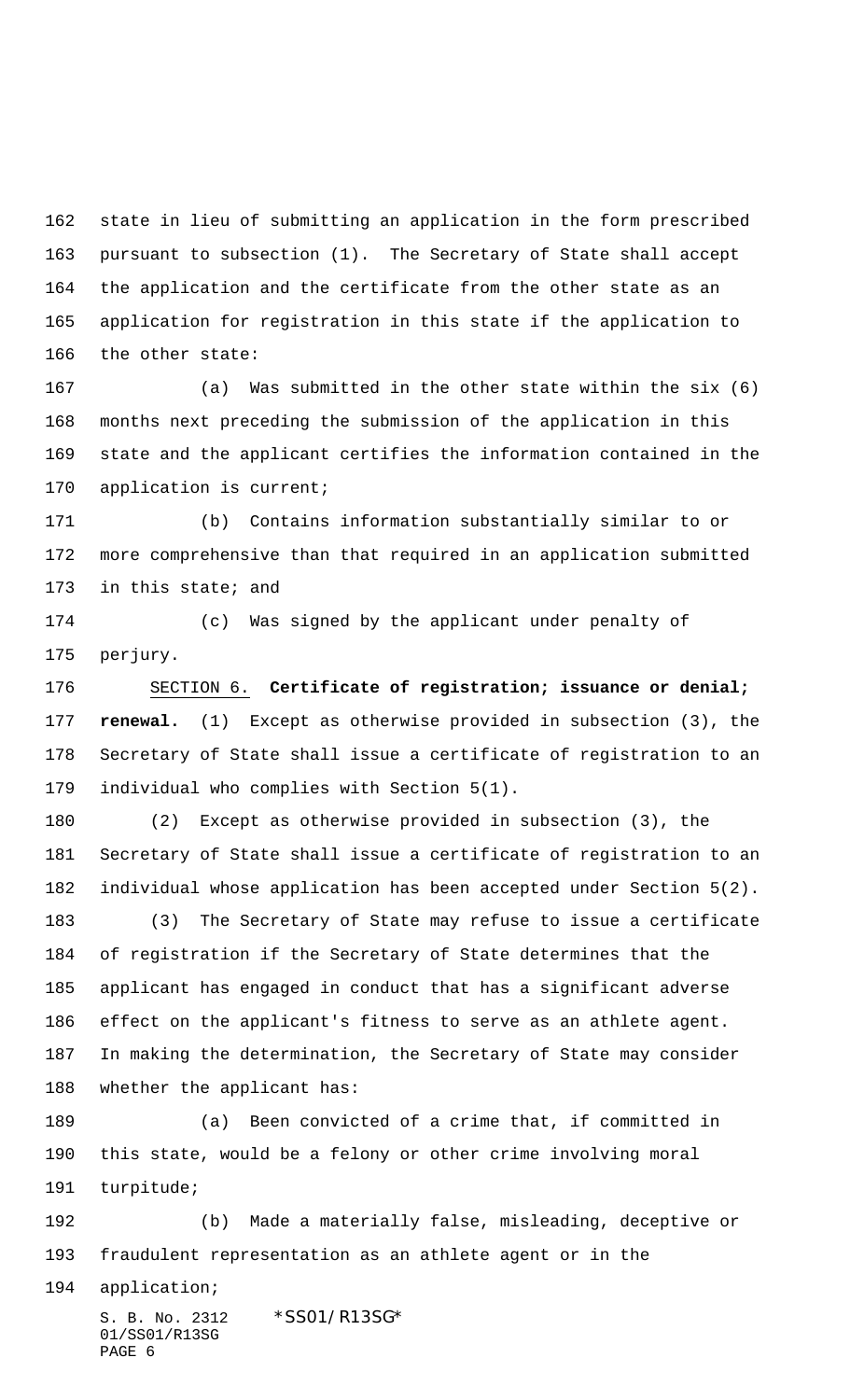state in lieu of submitting an application in the form prescribed pursuant to subsection (1). The Secretary of State shall accept the application and the certificate from the other state as an application for registration in this state if the application to the other state:

 (a) Was submitted in the other state within the six (6) months next preceding the submission of the application in this state and the applicant certifies the information contained in the application is current;

 (b) Contains information substantially similar to or more comprehensive than that required in an application submitted in this state; and

 (c) Was signed by the applicant under penalty of perjury.

 SECTION 6. **Certificate of registration; issuance or denial; renewal.** (1) Except as otherwise provided in subsection (3), the Secretary of State shall issue a certificate of registration to an individual who complies with Section 5(1).

 (2) Except as otherwise provided in subsection (3), the Secretary of State shall issue a certificate of registration to an individual whose application has been accepted under Section 5(2).

 (3) The Secretary of State may refuse to issue a certificate of registration if the Secretary of State determines that the applicant has engaged in conduct that has a significant adverse effect on the applicant's fitness to serve as an athlete agent. In making the determination, the Secretary of State may consider whether the applicant has:

 (a) Been convicted of a crime that, if committed in this state, would be a felony or other crime involving moral turpitude;

 (b) Made a materially false, misleading, deceptive or fraudulent representation as an athlete agent or in the

application;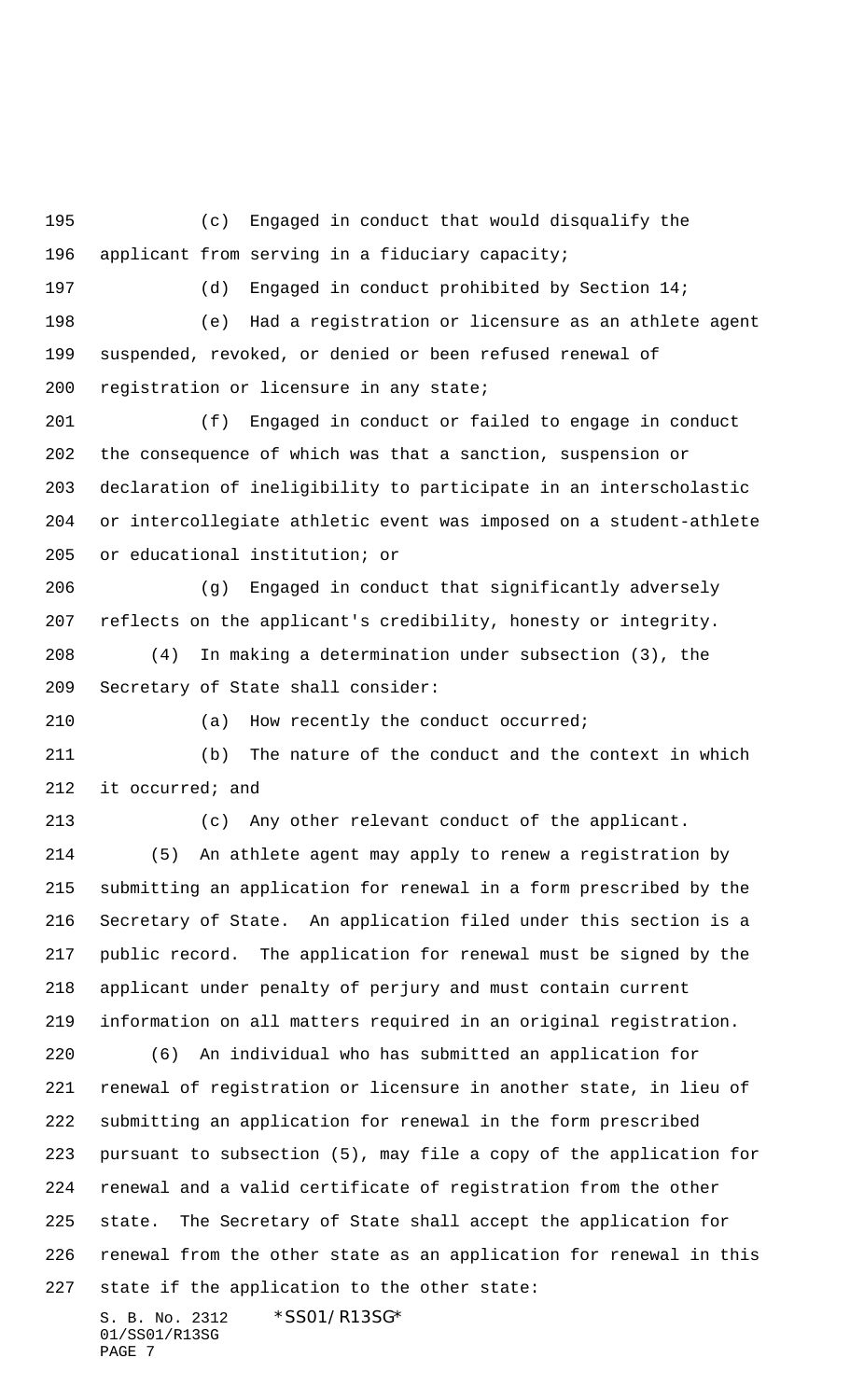(c) Engaged in conduct that would disqualify the applicant from serving in a fiduciary capacity; (d) Engaged in conduct prohibited by Section 14; (e) Had a registration or licensure as an athlete agent suspended, revoked, or denied or been refused renewal of registration or licensure in any state; (f) Engaged in conduct or failed to engage in conduct the consequence of which was that a sanction, suspension or declaration of ineligibility to participate in an interscholastic or intercollegiate athletic event was imposed on a student-athlete or educational institution; or (g) Engaged in conduct that significantly adversely reflects on the applicant's credibility, honesty or integrity. (4) In making a determination under subsection (3), the Secretary of State shall consider: (a) How recently the conduct occurred; (b) The nature of the conduct and the context in which it occurred; and (c) Any other relevant conduct of the applicant. (5) An athlete agent may apply to renew a registration by submitting an application for renewal in a form prescribed by the Secretary of State. An application filed under this section is a public record. The application for renewal must be signed by the applicant under penalty of perjury and must contain current information on all matters required in an original registration. (6) An individual who has submitted an application for renewal of registration or licensure in another state, in lieu of submitting an application for renewal in the form prescribed pursuant to subsection (5), may file a copy of the application for renewal and a valid certificate of registration from the other state. The Secretary of State shall accept the application for renewal from the other state as an application for renewal in this state if the application to the other state: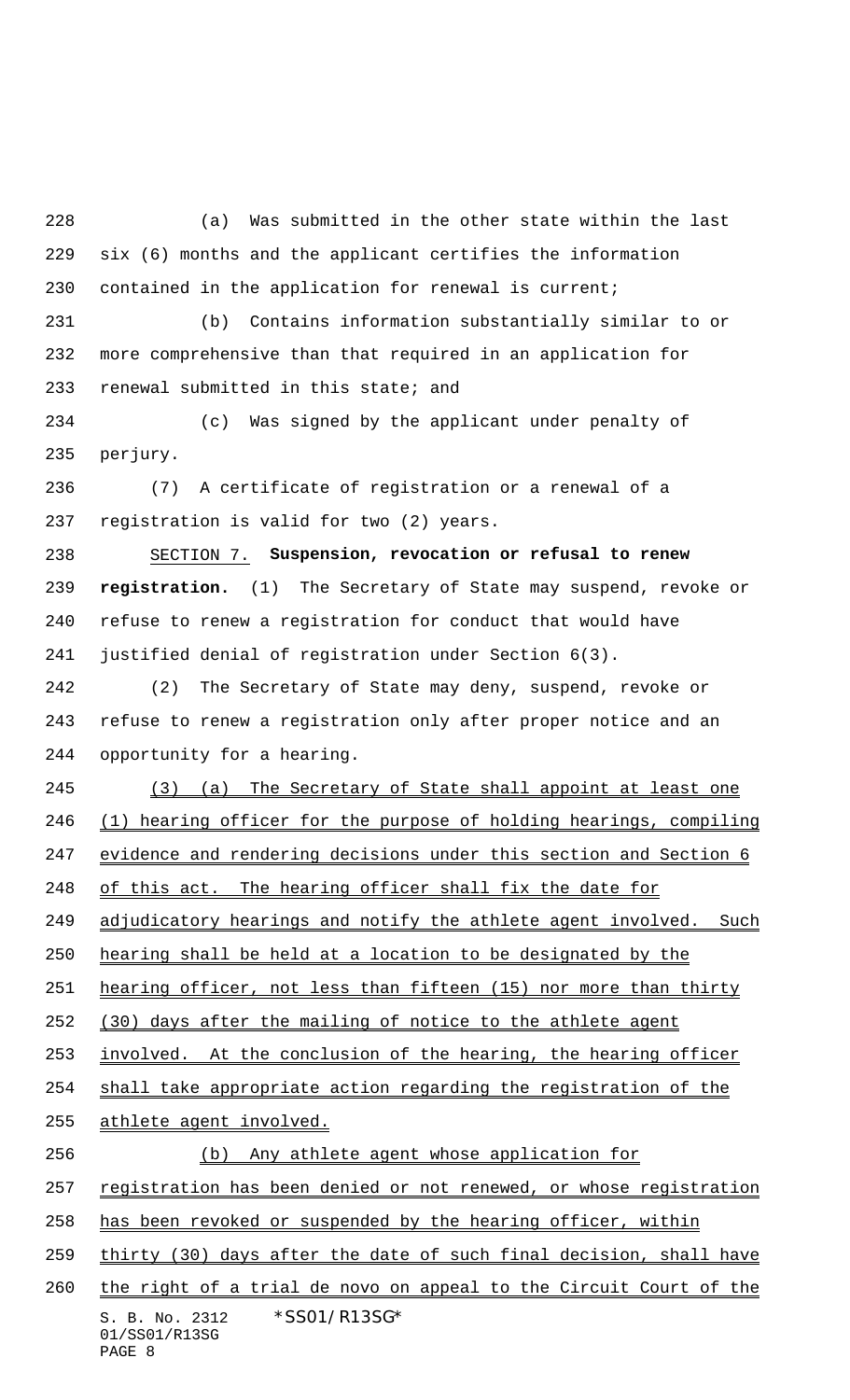(a) Was submitted in the other state within the last six (6) months and the applicant certifies the information contained in the application for renewal is current;

 (b) Contains information substantially similar to or more comprehensive than that required in an application for renewal submitted in this state; and

 (c) Was signed by the applicant under penalty of perjury.

 (7) A certificate of registration or a renewal of a registration is valid for two (2) years.

 SECTION 7. **Suspension, revocation or refusal to renew registration.** (1) The Secretary of State may suspend, revoke or refuse to renew a registration for conduct that would have justified denial of registration under Section 6(3).

 (2) The Secretary of State may deny, suspend, revoke or refuse to renew a registration only after proper notice and an opportunity for a hearing.

 (3) (a) The Secretary of State shall appoint at least one (1) hearing officer for the purpose of holding hearings, compiling evidence and rendering decisions under this section and Section 6 248 of this act. The hearing officer shall fix the date for 249 adjudicatory hearings and notify the athlete agent involved. Such

hearing shall be held at a location to be designated by the

hearing officer, not less than fifteen (15) nor more than thirty

(30) days after the mailing of notice to the athlete agent

253 involved. At the conclusion of the hearing, the hearing officer

shall take appropriate action regarding the registration of the

athlete agent involved.

(b) Any athlete agent whose application for

257 registration has been denied or not renewed, or whose registration

has been revoked or suspended by the hearing officer, within

thirty (30) days after the date of such final decision, shall have

S. B. No. 2312 \*SS01/R13SG\* 01/SS01/R13SG 260 the right of a trial de novo on appeal to the Circuit Court of the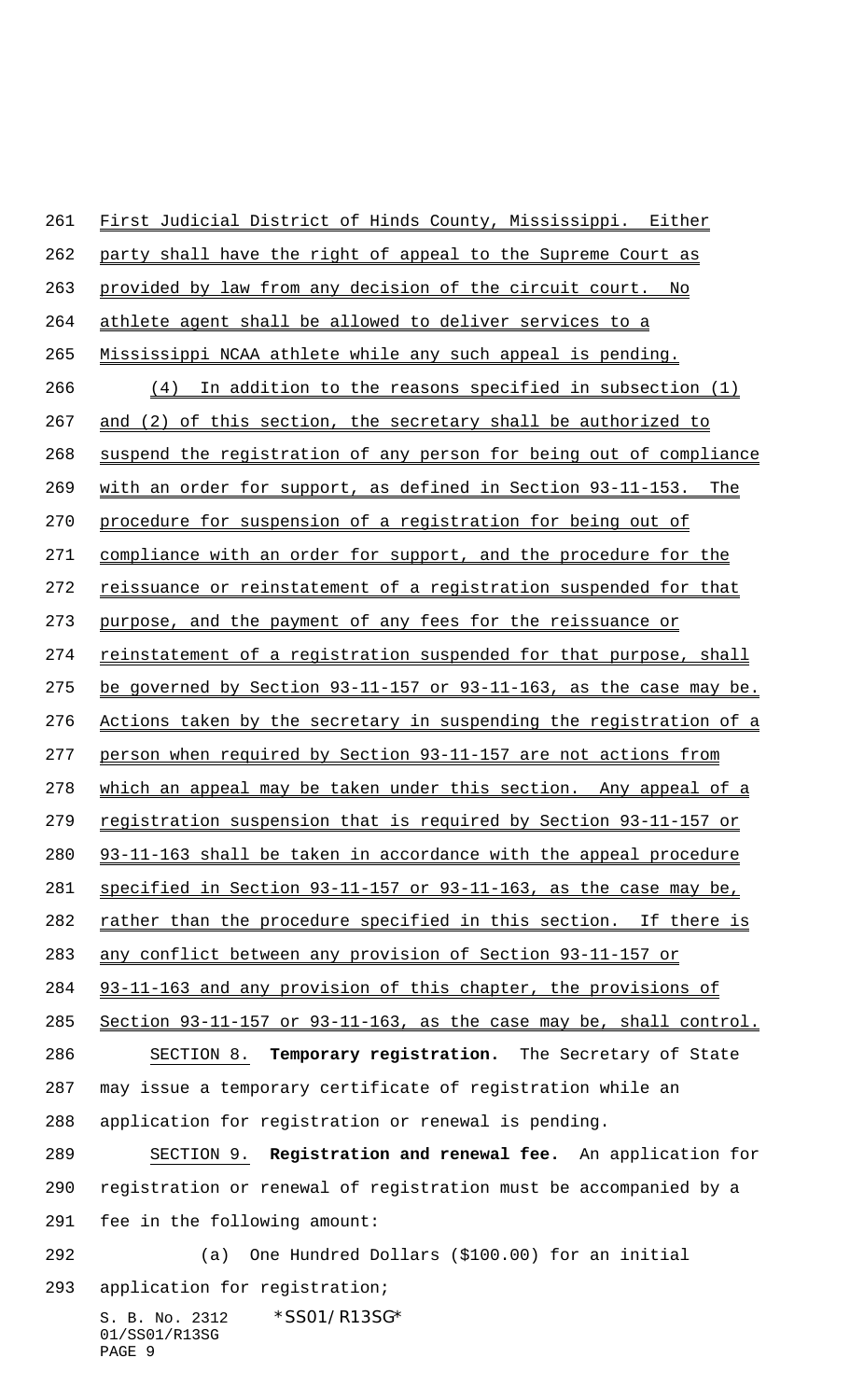S. B. No. 2312 \*SS01/R13SG\* 01/SS01/R13SG PAGE 9 party shall have the right of appeal to the Supreme Court as 263 provided by law from any decision of the circuit court. No athlete agent shall be allowed to deliver services to a Mississippi NCAA athlete while any such appeal is pending. (4) In addition to the reasons specified in subsection (1) and (2) of this section, the secretary shall be authorized to suspend the registration of any person for being out of compliance with an order for support, as defined in Section 93-11-153. The procedure for suspension of a registration for being out of 271 compliance with an order for support, and the procedure for the 272 reissuance or reinstatement of a registration suspended for that purpose, and the payment of any fees for the reissuance or 274 reinstatement of a registration suspended for that purpose, shall be governed by Section 93-11-157 or 93-11-163, as the case may be. Actions taken by the secretary in suspending the registration of a 277 person when required by Section 93-11-157 are not actions from 278 which an appeal may be taken under this section. Any appeal of a 279 registration suspension that is required by Section 93-11-157 or 93-11-163 shall be taken in accordance with the appeal procedure specified in Section 93-11-157 or 93-11-163, as the case may be, rather than the procedure specified in this section. If there is any conflict between any provision of Section 93-11-157 or 93-11-163 and any provision of this chapter, the provisions of Section 93-11-157 or 93-11-163, as the case may be, shall control. SECTION 8. **Temporary registration.** The Secretary of State may issue a temporary certificate of registration while an application for registration or renewal is pending. SECTION 9. **Registration and renewal fee.** An application for registration or renewal of registration must be accompanied by a fee in the following amount: (a) One Hundred Dollars (\$100.00) for an initial application for registration;

First Judicial District of Hinds County, Mississippi. Either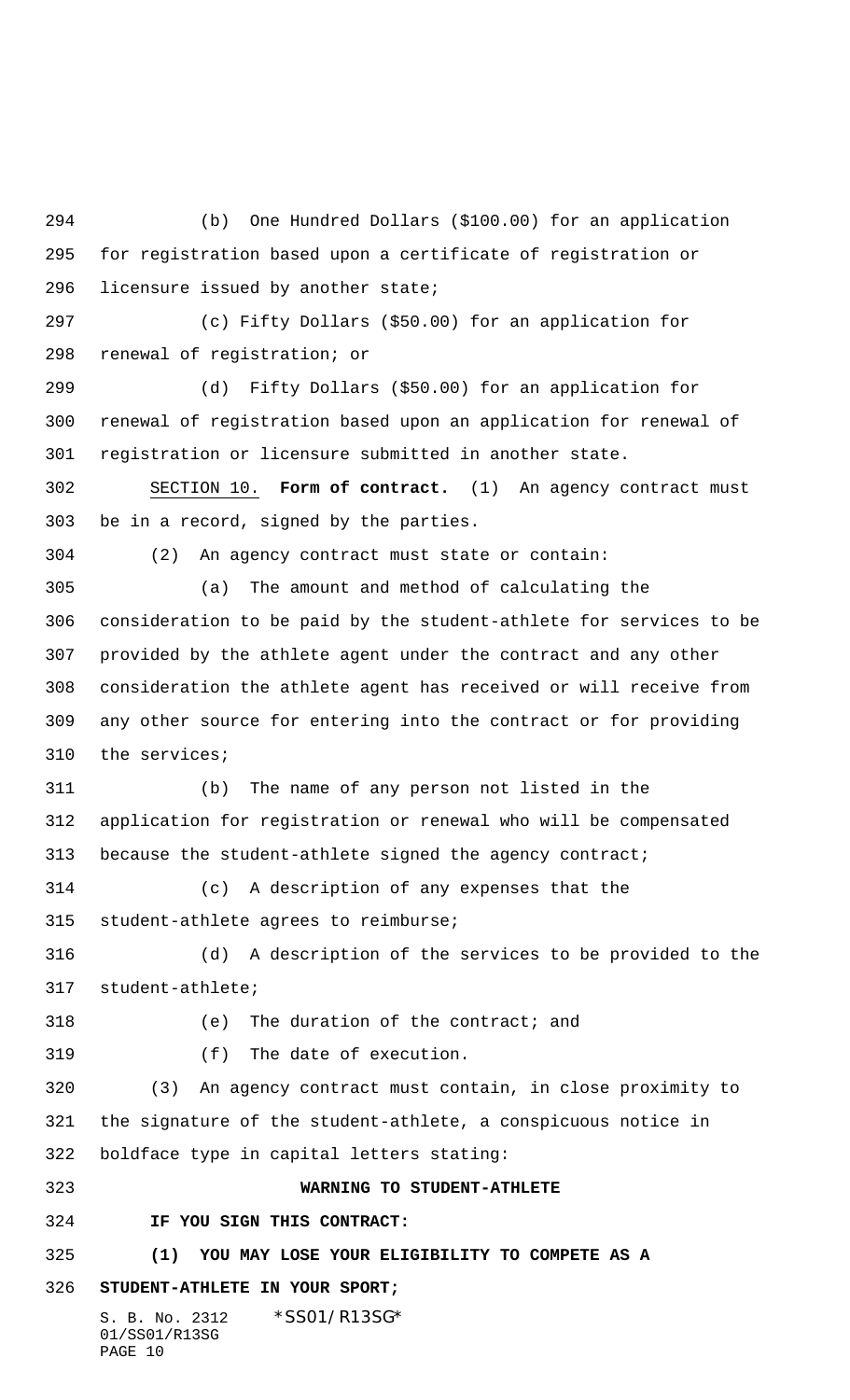S. B. No. 2312 \*SS01/R13SG\* (b) One Hundred Dollars (\$100.00) for an application for registration based upon a certificate of registration or licensure issued by another state; (c) Fifty Dollars (\$50.00) for an application for renewal of registration; or (d) Fifty Dollars (\$50.00) for an application for renewal of registration based upon an application for renewal of registration or licensure submitted in another state. SECTION 10. **Form of contract.** (1) An agency contract must be in a record, signed by the parties. (2) An agency contract must state or contain: (a) The amount and method of calculating the consideration to be paid by the student-athlete for services to be provided by the athlete agent under the contract and any other consideration the athlete agent has received or will receive from any other source for entering into the contract or for providing the services; (b) The name of any person not listed in the application for registration or renewal who will be compensated because the student-athlete signed the agency contract; (c) A description of any expenses that the student-athlete agrees to reimburse; (d) A description of the services to be provided to the student-athlete; (e) The duration of the contract; and (f) The date of execution. (3) An agency contract must contain, in close proximity to the signature of the student-athlete, a conspicuous notice in boldface type in capital letters stating: **WARNING TO STUDENT-ATHLETE IF YOU SIGN THIS CONTRACT: (1) YOU MAY LOSE YOUR ELIGIBILITY TO COMPETE AS A STUDENT-ATHLETE IN YOUR SPORT;**

01/SS01/R13SG PAGE 10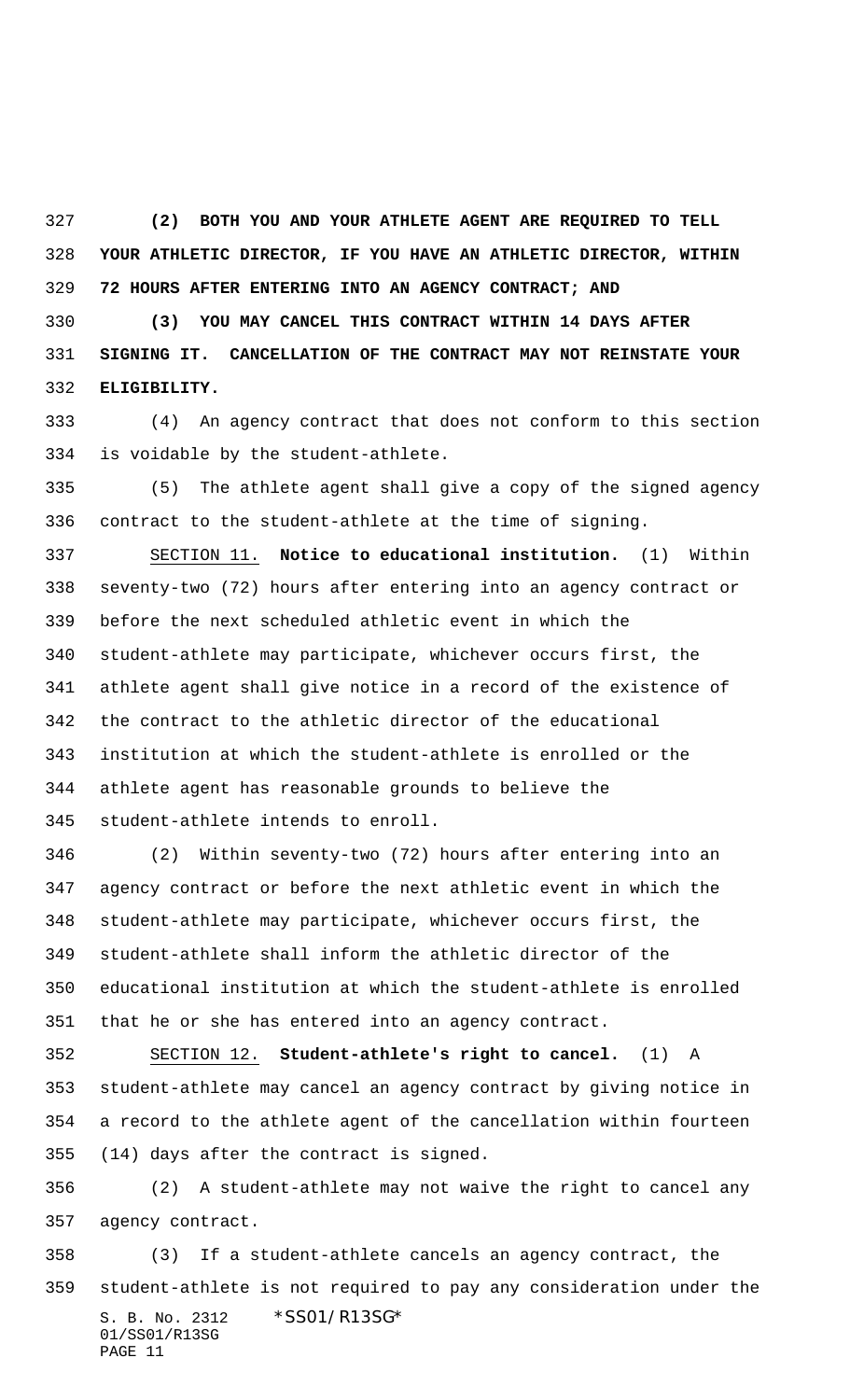**(2) BOTH YOU AND YOUR ATHLETE AGENT ARE REQUIRED TO TELL YOUR ATHLETIC DIRECTOR, IF YOU HAVE AN ATHLETIC DIRECTOR, WITHIN 72 HOURS AFTER ENTERING INTO AN AGENCY CONTRACT; AND**

 **(3) YOU MAY CANCEL THIS CONTRACT WITHIN 14 DAYS AFTER SIGNING IT. CANCELLATION OF THE CONTRACT MAY NOT REINSTATE YOUR ELIGIBILITY.**

 (4) An agency contract that does not conform to this section is voidable by the student-athlete.

 (5) The athlete agent shall give a copy of the signed agency contract to the student-athlete at the time of signing.

 SECTION 11. **Notice to educational institution.** (1) Within seventy-two (72) hours after entering into an agency contract or before the next scheduled athletic event in which the student-athlete may participate, whichever occurs first, the athlete agent shall give notice in a record of the existence of the contract to the athletic director of the educational institution at which the student-athlete is enrolled or the athlete agent has reasonable grounds to believe the student-athlete intends to enroll.

 (2) Within seventy-two (72) hours after entering into an agency contract or before the next athletic event in which the student-athlete may participate, whichever occurs first, the student-athlete shall inform the athletic director of the educational institution at which the student-athlete is enrolled that he or she has entered into an agency contract.

 SECTION 12. **Student-athlete's right to cancel.** (1) A student-athlete may cancel an agency contract by giving notice in a record to the athlete agent of the cancellation within fourteen (14) days after the contract is signed.

 (2) A student-athlete may not waive the right to cancel any agency contract.

S. B. No. 2312 \*SS01/R13SG\* 01/SS01/R13SG PAGE 11 (3) If a student-athlete cancels an agency contract, the student-athlete is not required to pay any consideration under the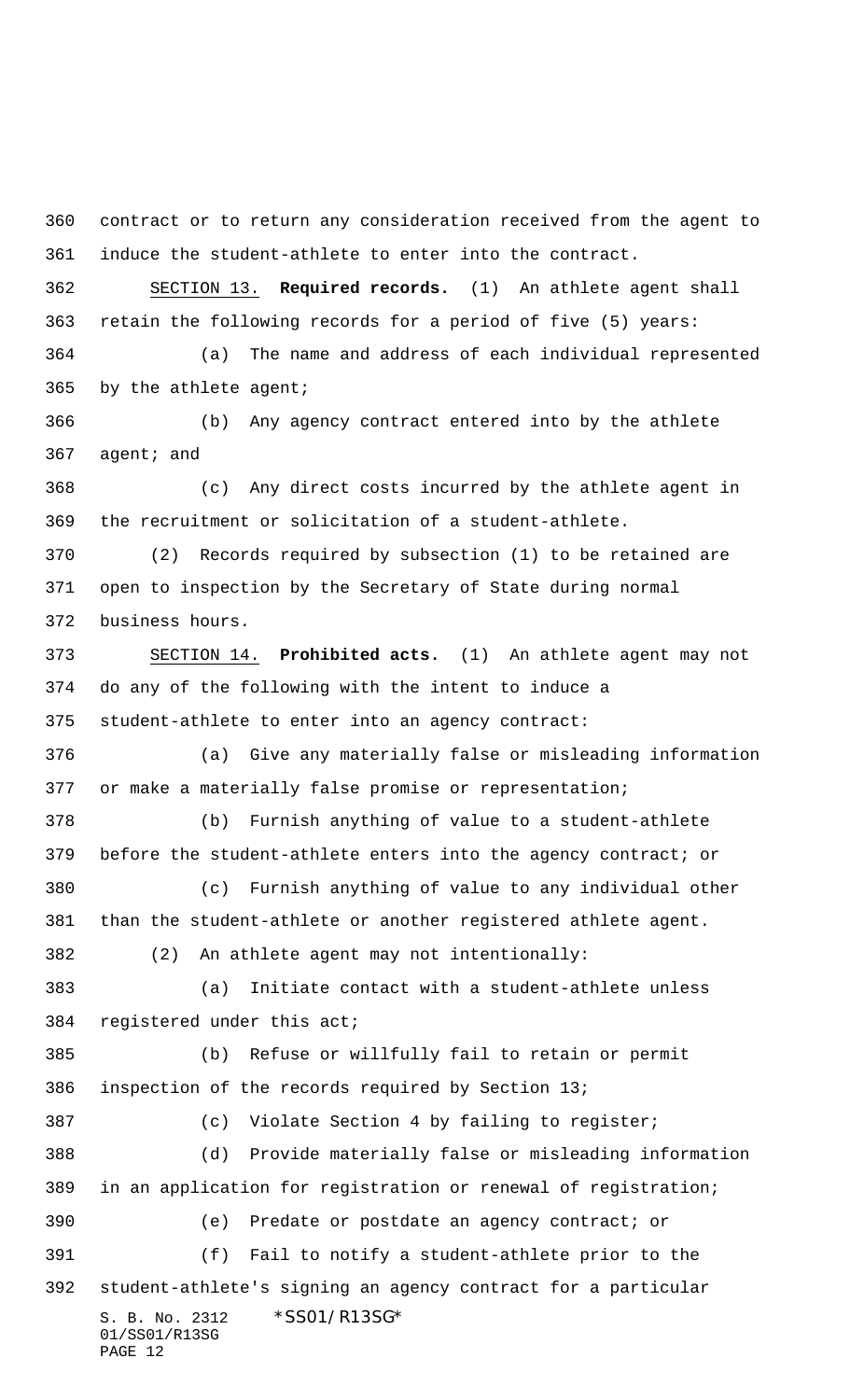contract or to return any consideration received from the agent to induce the student-athlete to enter into the contract.

 SECTION 13. **Required records.** (1) An athlete agent shall retain the following records for a period of five (5) years:

 (a) The name and address of each individual represented by the athlete agent;

 (b) Any agency contract entered into by the athlete agent; and

 (c) Any direct costs incurred by the athlete agent in the recruitment or solicitation of a student-athlete.

 (2) Records required by subsection (1) to be retained are open to inspection by the Secretary of State during normal business hours.

 SECTION 14. **Prohibited acts.** (1) An athlete agent may not do any of the following with the intent to induce a student-athlete to enter into an agency contract:

 (a) Give any materially false or misleading information or make a materially false promise or representation;

 (b) Furnish anything of value to a student-athlete before the student-athlete enters into the agency contract; or

 (c) Furnish anything of value to any individual other than the student-athlete or another registered athlete agent.

(2) An athlete agent may not intentionally:

 (a) Initiate contact with a student-athlete unless registered under this act;

S. B. No. 2312 \*SS01/R13SG\* 01/SS01/R13SG (b) Refuse or willfully fail to retain or permit inspection of the records required by Section 13; (c) Violate Section 4 by failing to register; (d) Provide materially false or misleading information in an application for registration or renewal of registration; (e) Predate or postdate an agency contract; or (f) Fail to notify a student-athlete prior to the student-athlete's signing an agency contract for a particular

PAGE 12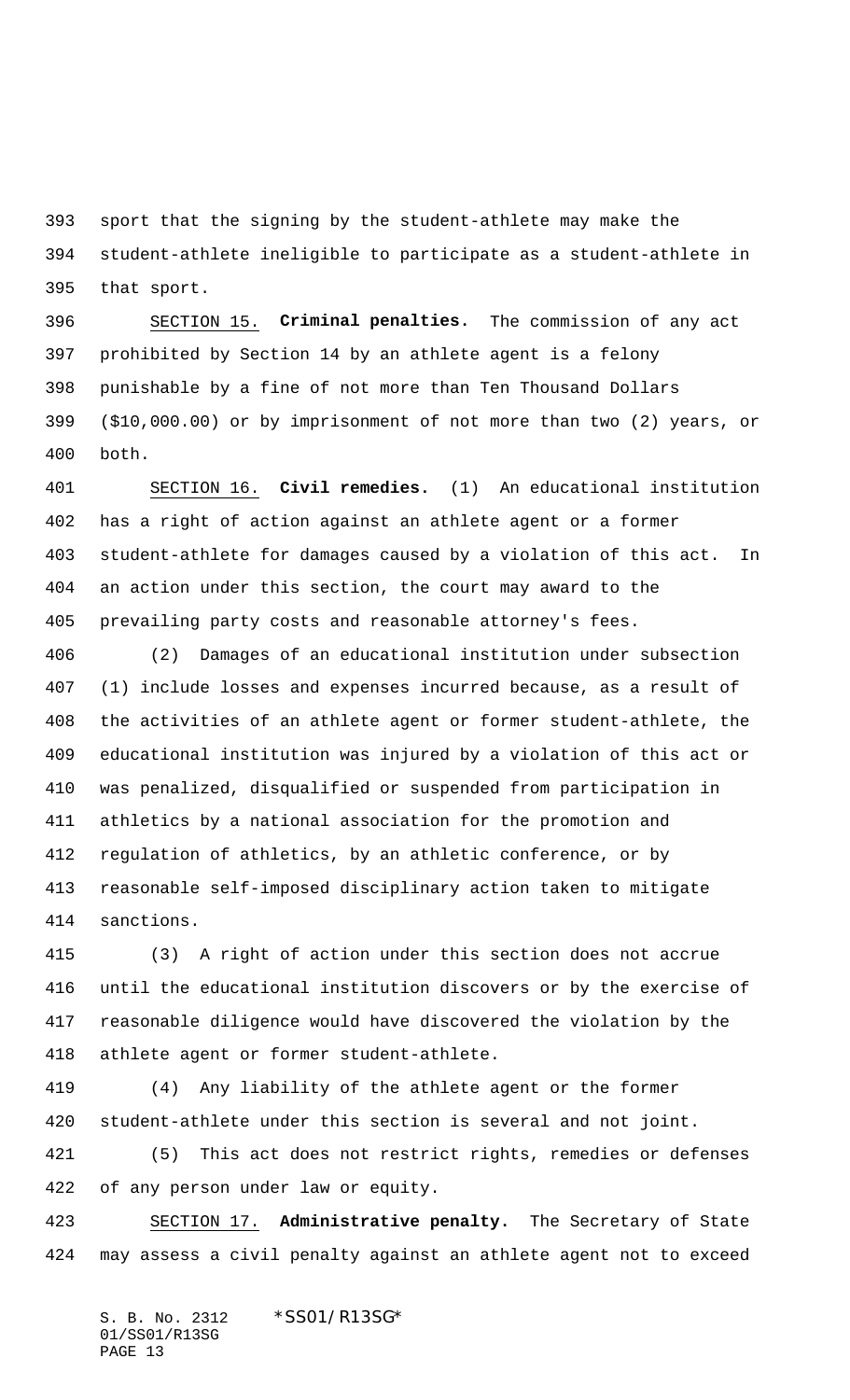sport that the signing by the student-athlete may make the student-athlete ineligible to participate as a student-athlete in that sport.

 SECTION 15. **Criminal penalties.** The commission of any act prohibited by Section 14 by an athlete agent is a felony punishable by a fine of not more than Ten Thousand Dollars (\$10,000.00) or by imprisonment of not more than two (2) years, or both.

 SECTION 16. **Civil remedies.** (1) An educational institution has a right of action against an athlete agent or a former student-athlete for damages caused by a violation of this act. In an action under this section, the court may award to the prevailing party costs and reasonable attorney's fees.

 (2) Damages of an educational institution under subsection (1) include losses and expenses incurred because, as a result of the activities of an athlete agent or former student-athlete, the educational institution was injured by a violation of this act or was penalized, disqualified or suspended from participation in athletics by a national association for the promotion and regulation of athletics, by an athletic conference, or by reasonable self-imposed disciplinary action taken to mitigate sanctions.

 (3) A right of action under this section does not accrue until the educational institution discovers or by the exercise of reasonable diligence would have discovered the violation by the athlete agent or former student-athlete.

 (4) Any liability of the athlete agent or the former student-athlete under this section is several and not joint.

 (5) This act does not restrict rights, remedies or defenses of any person under law or equity.

 SECTION 17. **Administrative penalty.** The Secretary of State may assess a civil penalty against an athlete agent not to exceed